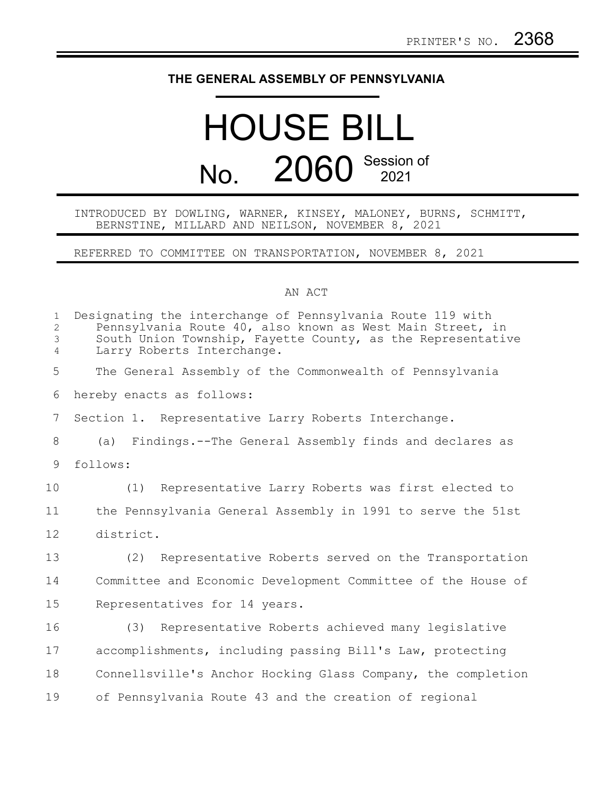## **THE GENERAL ASSEMBLY OF PENNSYLVANIA**

## HOUSE BILL No. 2060 Session of

## INTRODUCED BY DOWLING, WARNER, KINSEY, MALONEY, BURNS, SCHMITT, BERNSTINE, MILLARD AND NEILSON, NOVEMBER 8, 2021

REFERRED TO COMMITTEE ON TRANSPORTATION, NOVEMBER 8, 2021

## AN ACT

| $\mathbf{1}$<br>$\overline{2}$<br>3<br>$\overline{4}$ | Designating the interchange of Pennsylvania Route 119 with<br>Pennsylvania Route 40, also known as West Main Street, in<br>South Union Township, Fayette County, as the Representative<br>Larry Roberts Interchange. |
|-------------------------------------------------------|----------------------------------------------------------------------------------------------------------------------------------------------------------------------------------------------------------------------|
| 5                                                     | The General Assembly of the Commonwealth of Pennsylvania                                                                                                                                                             |
| 6                                                     | hereby enacts as follows:                                                                                                                                                                                            |
| 7                                                     | Section 1. Representative Larry Roberts Interchange.                                                                                                                                                                 |
| 8                                                     | (a) Findings.--The General Assembly finds and declares as                                                                                                                                                            |
| 9                                                     | follows:                                                                                                                                                                                                             |
| 10                                                    | (1) Representative Larry Roberts was first elected to                                                                                                                                                                |
| 11                                                    | the Pennsylvania General Assembly in 1991 to serve the 51st                                                                                                                                                          |
| 12                                                    | district.                                                                                                                                                                                                            |
| 13                                                    | Representative Roberts served on the Transportation<br>(2)                                                                                                                                                           |
| 14                                                    | Committee and Economic Development Committee of the House of                                                                                                                                                         |
| 15                                                    | Representatives for 14 years.                                                                                                                                                                                        |
| 16                                                    | Representative Roberts achieved many legislative<br>(3)                                                                                                                                                              |
| 17                                                    | accomplishments, including passing Bill's Law, protecting                                                                                                                                                            |
| 18                                                    | Connellsville's Anchor Hocking Glass Company, the completion                                                                                                                                                         |
| 19                                                    | of Pennsylvania Route 43 and the creation of regional                                                                                                                                                                |
|                                                       |                                                                                                                                                                                                                      |